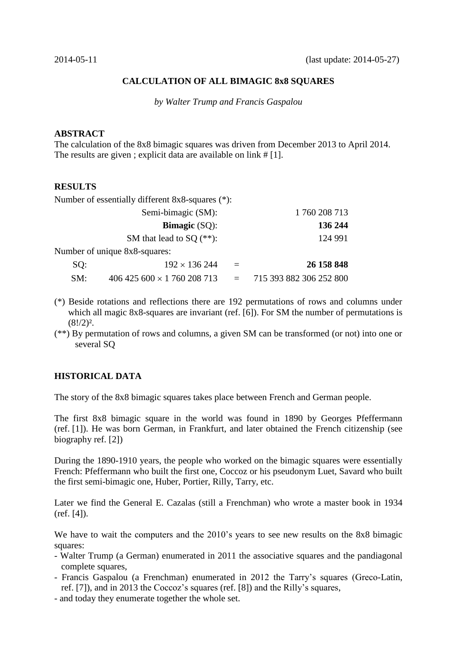# **CALCULATION OF ALL BIMAGIC 8x8 SQUARES**

*by Walter Trump and Francis Gaspalou*

### **ABSTRACT**

The calculation of the 8x8 bimagic squares was driven from December 2013 to April 2014. The results are given ; explicit data are available on link # [1].

# **RESULTS**

Number of essentially different 8x8-squares (\*):

|     | Semi-bimagic (SM):            |          | 1760 208 713            |
|-----|-------------------------------|----------|-------------------------|
|     | <b>Bimagic</b> $(SQ)$ :       |          | 136 244                 |
|     | SM that lead to SQ $(**)$ :   |          | 124 991                 |
|     | Number of unique 8x8-squares: |          |                         |
| SQ: | $192 \times 136244$           | $\equiv$ | 26 158 848              |
| SM: | $406425600 \times 1760208713$ |          | 715 393 882 306 252 800 |

- (\*) Beside rotations and reflections there are 192 permutations of rows and columns under which all magic 8x8-squares are invariant (ref. [6]). For SM the number of permutations is  $(8!/2)^2$ .
- (\*\*) By permutation of rows and columns, a given SM can be transformed (or not) into one or several SQ

# **HISTORICAL DATA**

The story of the 8x8 bimagic squares takes place between French and German people.

The first 8x8 bimagic square in the world was found in 1890 by Georges Pfeffermann (ref. [1]). He was born German, in Frankfurt, and later obtained the French citizenship (see biography ref. [2])

During the 1890-1910 years, the people who worked on the bimagic squares were essentially French: Pfeffermann who built the first one, Coccoz or his pseudonym Luet, Savard who built the first semi-bimagic one, Huber, Portier, Rilly, Tarry, etc.

Later we find the General E. Cazalas (still a Frenchman) who wrote a master book in 1934 (ref. [4]).

We have to wait the computers and the 2010's years to see new results on the 8x8 bimagic squares:

- Walter Trump (a German) enumerated in 2011 the associative squares and the pandiagonal complete squares,
- Francis Gaspalou (a Frenchman) enumerated in 2012 the Tarry's squares (Greco-Latin, ref. [7]), and in 2013 the Coccoz's squares (ref. [8]) and the Rilly's squares,
- and today they enumerate together the whole set.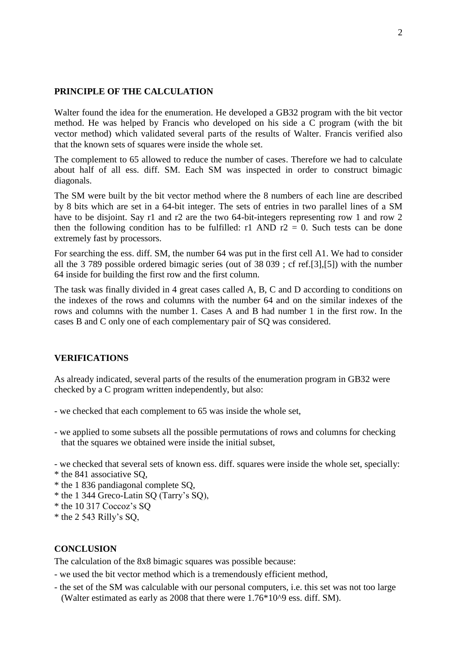### **PRINCIPLE OF THE CALCULATION**

Walter found the idea for the enumeration. He developed a GB32 program with the bit vector method. He was helped by Francis who developed on his side a C program (with the bit vector method) which validated several parts of the results of Walter. Francis verified also that the known sets of squares were inside the whole set.

The complement to 65 allowed to reduce the number of cases. Therefore we had to calculate about half of all ess. diff. SM. Each SM was inspected in order to construct bimagic diagonals.

The SM were built by the bit vector method where the 8 numbers of each line are described by 8 bits which are set in a 64-bit integer. The sets of entries in two parallel lines of a SM have to be disjoint. Say r1 and r2 are the two 64-bit-integers representing row 1 and row 2 then the following condition has to be fulfilled: r1 AND  $r2 = 0$ . Such tests can be done extremely fast by processors.

For searching the ess. diff. SM, the number 64 was put in the first cell A1. We had to consider all the 3 789 possible ordered bimagic series (out of 38 039 ; cf ref.[3],[5]) with the number 64 inside for building the first row and the first column.

The task was finally divided in 4 great cases called A, B, C and D according to conditions on the indexes of the rows and columns with the number 64 and on the similar indexes of the rows and columns with the number 1. Cases A and B had number 1 in the first row. In the cases B and C only one of each complementary pair of SQ was considered.

### **VERIFICATIONS**

As already indicated, several parts of the results of the enumeration program in GB32 were checked by a C program written independently, but also:

- we checked that each complement to 65 was inside the whole set,
- we applied to some subsets all the possible permutations of rows and columns for checking that the squares we obtained were inside the initial subset,

- we checked that several sets of known ess. diff. squares were inside the whole set, specially:

- \* the 841 associative SQ,
- \* the 1 836 pandiagonal complete SQ,
- \* the 1 344 Greco-Latin SQ (Tarry's SQ),
- \* the 10 317 Coccoz's SQ
- $*$  the 2 543 Rilly's SQ,

### **CONCLUSION**

The calculation of the 8x8 bimagic squares was possible because:

- we used the bit vector method which is a tremendously efficient method,
- the set of the SM was calculable with our personal computers, i.e. this set was not too large (Walter estimated as early as 2008 that there were 1.76\*10^9 ess. diff. SM).